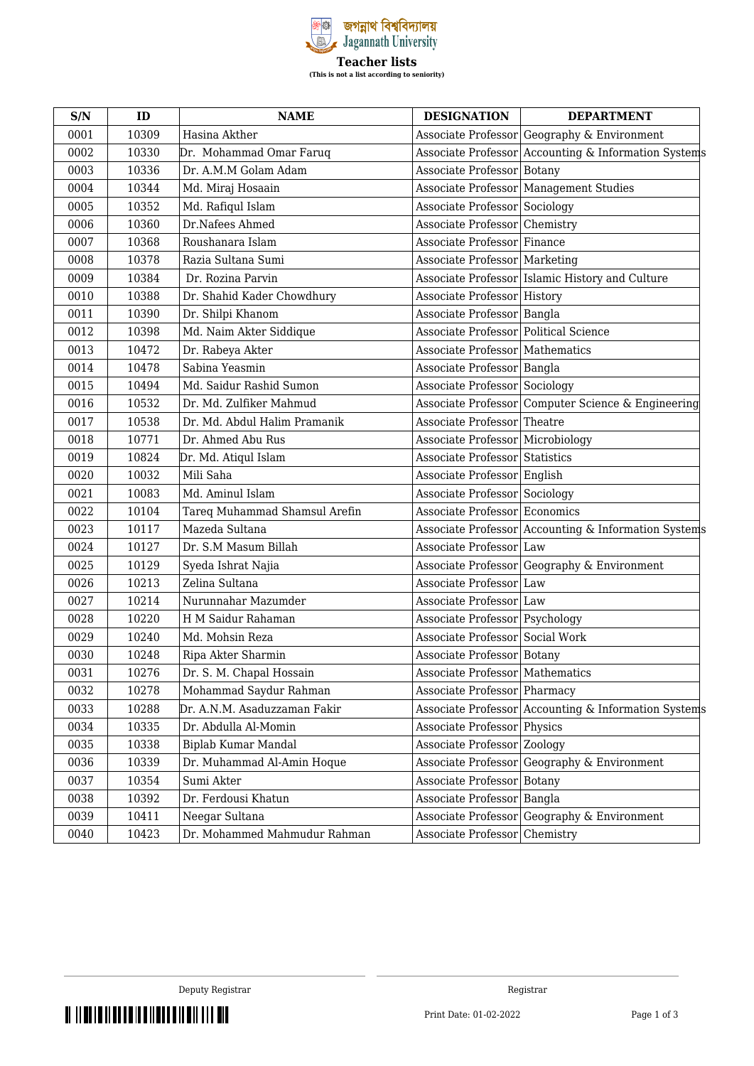

| S/N  | ID    | <b>NAME</b>                   | <b>DESIGNATION</b>                    | <b>DEPARTMENT</b>                                    |
|------|-------|-------------------------------|---------------------------------------|------------------------------------------------------|
| 0001 | 10309 | Hasina Akther                 |                                       | Associate Professor Geography & Environment          |
| 0002 | 10330 | Dr. Mohammad Omar Faruq       |                                       | Associate Professor Accounting & Information Systems |
| 0003 | 10336 | Dr. A.M.M Golam Adam          | Associate Professor Botany            |                                                      |
| 0004 | 10344 | Md. Miraj Hosaain             |                                       | Associate Professor Management Studies               |
| 0005 | 10352 | Md. Rafiqul Islam             | Associate Professor Sociology         |                                                      |
| 0006 | 10360 | Dr.Nafees Ahmed               | Associate Professor Chemistry         |                                                      |
| 0007 | 10368 | Roushanara Islam              | Associate Professor Finance           |                                                      |
| 0008 | 10378 | Razia Sultana Sumi            | Associate Professor Marketing         |                                                      |
| 0009 | 10384 | Dr. Rozina Parvin             |                                       | Associate Professor Islamic History and Culture      |
| 0010 | 10388 | Dr. Shahid Kader Chowdhury    | Associate Professor History           |                                                      |
| 0011 | 10390 | Dr. Shilpi Khanom             | Associate Professor Bangla            |                                                      |
| 0012 | 10398 | Md. Naim Akter Siddique       | Associate Professor Political Science |                                                      |
| 0013 | 10472 | Dr. Rabeya Akter              | Associate Professor Mathematics       |                                                      |
| 0014 | 10478 | Sabina Yeasmin                | Associate Professor Bangla            |                                                      |
| 0015 | 10494 | Md. Saidur Rashid Sumon       | Associate Professor Sociology         |                                                      |
| 0016 | 10532 | Dr. Md. Zulfiker Mahmud       |                                       | Associate Professor Computer Science & Engineering   |
| 0017 | 10538 | Dr. Md. Abdul Halim Pramanik  | Associate Professor Theatre           |                                                      |
| 0018 | 10771 | Dr. Ahmed Abu Rus             | Associate Professor   Microbiology    |                                                      |
| 0019 | 10824 | Dr. Md. Atiqul Islam          | Associate Professor Statistics        |                                                      |
| 0020 | 10032 | Mili Saha                     | Associate Professor English           |                                                      |
| 0021 | 10083 | Md. Aminul Islam              | Associate Professor Sociology         |                                                      |
| 0022 | 10104 | Tareq Muhammad Shamsul Arefin | Associate Professor Economics         |                                                      |
| 0023 | 10117 | Mazeda Sultana                |                                       | Associate Professor Accounting & Information Systems |
| 0024 | 10127 | Dr. S.M Masum Billah          | Associate Professor Law               |                                                      |
| 0025 | 10129 | Syeda Ishrat Najia            |                                       | Associate Professor Geography & Environment          |
| 0026 | 10213 | Zelina Sultana                | Associate Professor Law               |                                                      |
| 0027 | 10214 | Nurunnahar Mazumder           | Associate Professor Law               |                                                      |
| 0028 | 10220 | H M Saidur Rahaman            | Associate Professor   Psychology      |                                                      |
| 0029 | 10240 | Md. Mohsin Reza               | Associate Professor Social Work       |                                                      |
| 0030 | 10248 | Ripa Akter Sharmin            | Associate Professor Botany            |                                                      |
| 0031 | 10276 | Dr. S. M. Chapal Hossain      | Associate Professor   Mathematics     |                                                      |
| 0032 | 10278 | Mohammad Saydur Rahman        | Associate Professor   Pharmacy        |                                                      |
| 0033 | 10288 | Dr. A.N.M. Asaduzzaman Fakir  |                                       | Associate Professor Accounting & Information Systems |
| 0034 | 10335 | Dr. Abdulla Al-Momin          | Associate Professor Physics           |                                                      |
| 0035 | 10338 | Biplab Kumar Mandal           | Associate Professor Zoology           |                                                      |
| 0036 | 10339 | Dr. Muhammad Al-Amin Hoque    | Associate Professor                   | Geography & Environment                              |
| 0037 | 10354 | Sumi Akter                    | Associate Professor Botany            |                                                      |
| 0038 | 10392 | Dr. Ferdousi Khatun           | Associate Professor Bangla            |                                                      |
| 0039 | 10411 | Neegar Sultana                | Associate Professor                   | Geography & Environment                              |
| 0040 | 10423 | Dr. Mohammed Mahmudur Rahman  | Associate Professor                   | Chemistry                                            |

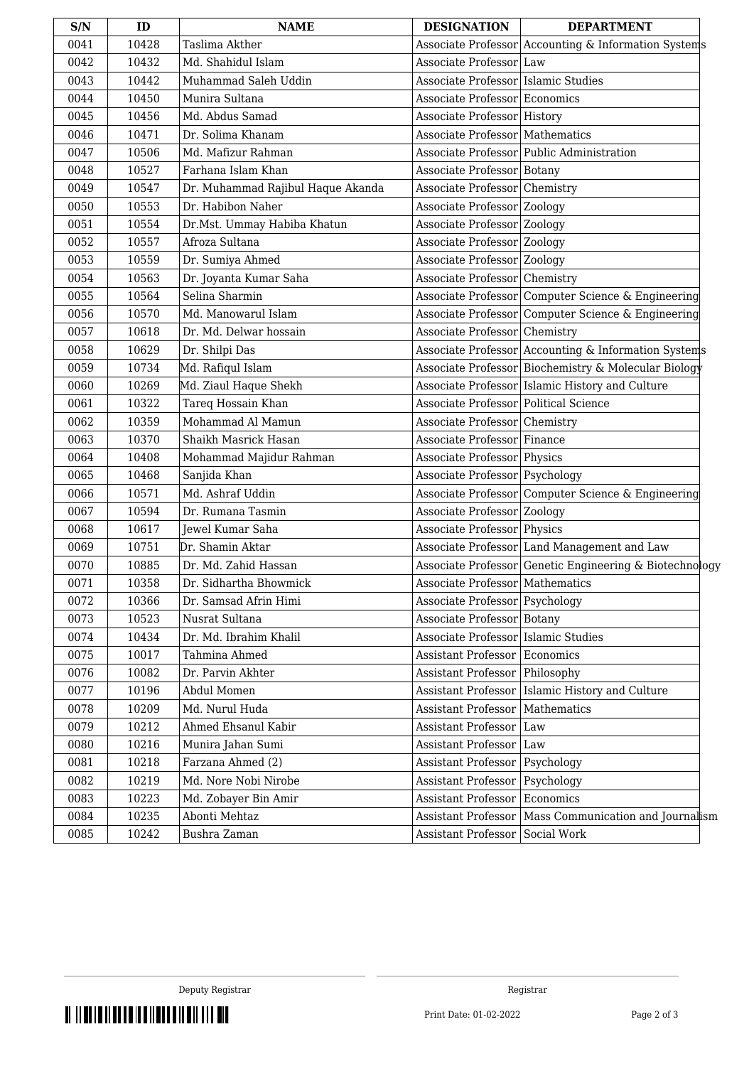| 10428<br>Taslima Akther<br>Associate Professor Accounting & Information Systems<br>0041<br>0042<br>10432<br>Md. Shahidul Islam<br>Associate Professor Law<br>0043<br>10442<br>Muhammad Saleh Uddin<br>Associate Professor Islamic Studies<br>0044<br>Munira Sultana<br>Associate Professor Economics<br>10450<br>0045<br>Md. Abdus Samad<br>10456<br>Associate Professor History<br>0046<br>10471<br>Dr. Solima Khanam<br>Associate Professor   Mathematics<br>Associate Professor Public Administration<br>0047<br>Md. Mafizur Rahman<br>10506<br>Farhana Islam Khan<br>0048<br>10527<br>Associate Professor Botany<br>0049<br>10547<br>Dr. Muhammad Rajibul Haque Akanda<br>Associate Professor Chemistry<br>Dr. Habibon Naher<br>0050<br>10553<br>Associate Professor Zoology<br>0051<br>10554<br>Dr.Mst. Ummay Habiba Khatun<br>Associate Professor Zoology<br>0052<br>10557<br>Afroza Sultana<br>Associate Professor Zoology<br>Dr. Sumiya Ahmed<br>0053<br>10559<br>Associate Professor Zoology<br>Dr. Joyanta Kumar Saha<br>0054<br>10563<br>Associate Professor Chemistry<br>Selina Sharmin<br>Associate Professor Computer Science & Engineering<br>0055<br>10564<br>0056<br>10570<br>Md. Manowarul Islam<br>Associate Professor Computer Science & Engineering<br>10618<br>0057<br>Dr. Md. Delwar hossain<br>Associate Professor Chemistry<br>Associate Professor Accounting & Information Systems<br>0058<br>10629<br>Dr. Shilpi Das<br>Associate Professor Biochemistry & Molecular Biology<br>0059<br>10734<br>Md. Rafiqul Islam<br>10269<br>Md. Ziaul Haque Shekh<br>Associate Professor Islamic History and Culture<br>0060<br>Tareq Hossain Khan<br>Associate Professor   Political Science<br>0061<br>10322<br>Mohammad Al Mamun<br>0062<br>10359<br>Associate Professor<br>Chemistry<br>0063<br>10370<br>Shaikh Masrick Hasan<br>Associate Professor Finance<br>0064<br>10408<br>Mohammad Majidur Rahman<br>Associate Professor Physics<br>0065<br>10468<br>Sanjida Khan<br>Associate Professor Psychology<br>Md. Ashraf Uddin<br>Associate Professor Computer Science & Engineering<br>0066<br>10571<br>0067<br>10594<br>Dr. Rumana Tasmin<br>Associate Professor Zoology<br>10617<br>Jewel Kumar Saha<br>Associate Professor Physics<br>0068<br>Associate Professor Land Management and Law<br>0069<br>10751<br>Dr. Shamin Aktar<br>0070<br>10885<br>Dr. Md. Zahid Hassan<br>Associate Professor Genetic Engineering & Biotechnology<br>0071<br>10358<br>Dr. Sidhartha Bhowmick<br>Associate Professor   Mathematics<br>0072<br>10366<br>Dr. Samsad Afrin Himi<br>Associate Professor Psychology<br>0073<br>10523<br>Nusrat Sultana<br>Associate Professor Botany<br>0074<br>10434<br>Dr. Md. Ibrahim Khalil<br>Associate Professor Islamic Studies<br>0075<br>10017<br>Tahmina Ahmed<br><b>Assistant Professor</b><br>Economics<br>0076<br>10082<br>Dr. Parvin Akhter<br><b>Assistant Professor</b><br>Philosophy<br>0077<br>10196<br>Abdul Momen<br><b>Assistant Professor</b><br>Islamic History and Culture<br>0078<br>Md. Nurul Huda<br><b>Assistant Professor</b><br>Mathematics<br>10209 |
|---------------------------------------------------------------------------------------------------------------------------------------------------------------------------------------------------------------------------------------------------------------------------------------------------------------------------------------------------------------------------------------------------------------------------------------------------------------------------------------------------------------------------------------------------------------------------------------------------------------------------------------------------------------------------------------------------------------------------------------------------------------------------------------------------------------------------------------------------------------------------------------------------------------------------------------------------------------------------------------------------------------------------------------------------------------------------------------------------------------------------------------------------------------------------------------------------------------------------------------------------------------------------------------------------------------------------------------------------------------------------------------------------------------------------------------------------------------------------------------------------------------------------------------------------------------------------------------------------------------------------------------------------------------------------------------------------------------------------------------------------------------------------------------------------------------------------------------------------------------------------------------------------------------------------------------------------------------------------------------------------------------------------------------------------------------------------------------------------------------------------------------------------------------------------------------------------------------------------------------------------------------------------------------------------------------------------------------------------------------------------------------------------------------------------------------------------------------------------------------------------------------------------------------------------------------------------------------------------------------------------------------------------------------------------------------------------------------------------------------------------------------------------------------------------------------------------------------------------------------------------------------------------------------------------------------------------------------------------------------------------------------------------------------------------------------------------------------------------------------------|
|                                                                                                                                                                                                                                                                                                                                                                                                                                                                                                                                                                                                                                                                                                                                                                                                                                                                                                                                                                                                                                                                                                                                                                                                                                                                                                                                                                                                                                                                                                                                                                                                                                                                                                                                                                                                                                                                                                                                                                                                                                                                                                                                                                                                                                                                                                                                                                                                                                                                                                                                                                                                                                                                                                                                                                                                                                                                                                                                                                                                                                                                                                                     |
|                                                                                                                                                                                                                                                                                                                                                                                                                                                                                                                                                                                                                                                                                                                                                                                                                                                                                                                                                                                                                                                                                                                                                                                                                                                                                                                                                                                                                                                                                                                                                                                                                                                                                                                                                                                                                                                                                                                                                                                                                                                                                                                                                                                                                                                                                                                                                                                                                                                                                                                                                                                                                                                                                                                                                                                                                                                                                                                                                                                                                                                                                                                     |
|                                                                                                                                                                                                                                                                                                                                                                                                                                                                                                                                                                                                                                                                                                                                                                                                                                                                                                                                                                                                                                                                                                                                                                                                                                                                                                                                                                                                                                                                                                                                                                                                                                                                                                                                                                                                                                                                                                                                                                                                                                                                                                                                                                                                                                                                                                                                                                                                                                                                                                                                                                                                                                                                                                                                                                                                                                                                                                                                                                                                                                                                                                                     |
|                                                                                                                                                                                                                                                                                                                                                                                                                                                                                                                                                                                                                                                                                                                                                                                                                                                                                                                                                                                                                                                                                                                                                                                                                                                                                                                                                                                                                                                                                                                                                                                                                                                                                                                                                                                                                                                                                                                                                                                                                                                                                                                                                                                                                                                                                                                                                                                                                                                                                                                                                                                                                                                                                                                                                                                                                                                                                                                                                                                                                                                                                                                     |
|                                                                                                                                                                                                                                                                                                                                                                                                                                                                                                                                                                                                                                                                                                                                                                                                                                                                                                                                                                                                                                                                                                                                                                                                                                                                                                                                                                                                                                                                                                                                                                                                                                                                                                                                                                                                                                                                                                                                                                                                                                                                                                                                                                                                                                                                                                                                                                                                                                                                                                                                                                                                                                                                                                                                                                                                                                                                                                                                                                                                                                                                                                                     |
|                                                                                                                                                                                                                                                                                                                                                                                                                                                                                                                                                                                                                                                                                                                                                                                                                                                                                                                                                                                                                                                                                                                                                                                                                                                                                                                                                                                                                                                                                                                                                                                                                                                                                                                                                                                                                                                                                                                                                                                                                                                                                                                                                                                                                                                                                                                                                                                                                                                                                                                                                                                                                                                                                                                                                                                                                                                                                                                                                                                                                                                                                                                     |
|                                                                                                                                                                                                                                                                                                                                                                                                                                                                                                                                                                                                                                                                                                                                                                                                                                                                                                                                                                                                                                                                                                                                                                                                                                                                                                                                                                                                                                                                                                                                                                                                                                                                                                                                                                                                                                                                                                                                                                                                                                                                                                                                                                                                                                                                                                                                                                                                                                                                                                                                                                                                                                                                                                                                                                                                                                                                                                                                                                                                                                                                                                                     |
|                                                                                                                                                                                                                                                                                                                                                                                                                                                                                                                                                                                                                                                                                                                                                                                                                                                                                                                                                                                                                                                                                                                                                                                                                                                                                                                                                                                                                                                                                                                                                                                                                                                                                                                                                                                                                                                                                                                                                                                                                                                                                                                                                                                                                                                                                                                                                                                                                                                                                                                                                                                                                                                                                                                                                                                                                                                                                                                                                                                                                                                                                                                     |
|                                                                                                                                                                                                                                                                                                                                                                                                                                                                                                                                                                                                                                                                                                                                                                                                                                                                                                                                                                                                                                                                                                                                                                                                                                                                                                                                                                                                                                                                                                                                                                                                                                                                                                                                                                                                                                                                                                                                                                                                                                                                                                                                                                                                                                                                                                                                                                                                                                                                                                                                                                                                                                                                                                                                                                                                                                                                                                                                                                                                                                                                                                                     |
|                                                                                                                                                                                                                                                                                                                                                                                                                                                                                                                                                                                                                                                                                                                                                                                                                                                                                                                                                                                                                                                                                                                                                                                                                                                                                                                                                                                                                                                                                                                                                                                                                                                                                                                                                                                                                                                                                                                                                                                                                                                                                                                                                                                                                                                                                                                                                                                                                                                                                                                                                                                                                                                                                                                                                                                                                                                                                                                                                                                                                                                                                                                     |
|                                                                                                                                                                                                                                                                                                                                                                                                                                                                                                                                                                                                                                                                                                                                                                                                                                                                                                                                                                                                                                                                                                                                                                                                                                                                                                                                                                                                                                                                                                                                                                                                                                                                                                                                                                                                                                                                                                                                                                                                                                                                                                                                                                                                                                                                                                                                                                                                                                                                                                                                                                                                                                                                                                                                                                                                                                                                                                                                                                                                                                                                                                                     |
|                                                                                                                                                                                                                                                                                                                                                                                                                                                                                                                                                                                                                                                                                                                                                                                                                                                                                                                                                                                                                                                                                                                                                                                                                                                                                                                                                                                                                                                                                                                                                                                                                                                                                                                                                                                                                                                                                                                                                                                                                                                                                                                                                                                                                                                                                                                                                                                                                                                                                                                                                                                                                                                                                                                                                                                                                                                                                                                                                                                                                                                                                                                     |
|                                                                                                                                                                                                                                                                                                                                                                                                                                                                                                                                                                                                                                                                                                                                                                                                                                                                                                                                                                                                                                                                                                                                                                                                                                                                                                                                                                                                                                                                                                                                                                                                                                                                                                                                                                                                                                                                                                                                                                                                                                                                                                                                                                                                                                                                                                                                                                                                                                                                                                                                                                                                                                                                                                                                                                                                                                                                                                                                                                                                                                                                                                                     |
|                                                                                                                                                                                                                                                                                                                                                                                                                                                                                                                                                                                                                                                                                                                                                                                                                                                                                                                                                                                                                                                                                                                                                                                                                                                                                                                                                                                                                                                                                                                                                                                                                                                                                                                                                                                                                                                                                                                                                                                                                                                                                                                                                                                                                                                                                                                                                                                                                                                                                                                                                                                                                                                                                                                                                                                                                                                                                                                                                                                                                                                                                                                     |
|                                                                                                                                                                                                                                                                                                                                                                                                                                                                                                                                                                                                                                                                                                                                                                                                                                                                                                                                                                                                                                                                                                                                                                                                                                                                                                                                                                                                                                                                                                                                                                                                                                                                                                                                                                                                                                                                                                                                                                                                                                                                                                                                                                                                                                                                                                                                                                                                                                                                                                                                                                                                                                                                                                                                                                                                                                                                                                                                                                                                                                                                                                                     |
|                                                                                                                                                                                                                                                                                                                                                                                                                                                                                                                                                                                                                                                                                                                                                                                                                                                                                                                                                                                                                                                                                                                                                                                                                                                                                                                                                                                                                                                                                                                                                                                                                                                                                                                                                                                                                                                                                                                                                                                                                                                                                                                                                                                                                                                                                                                                                                                                                                                                                                                                                                                                                                                                                                                                                                                                                                                                                                                                                                                                                                                                                                                     |
|                                                                                                                                                                                                                                                                                                                                                                                                                                                                                                                                                                                                                                                                                                                                                                                                                                                                                                                                                                                                                                                                                                                                                                                                                                                                                                                                                                                                                                                                                                                                                                                                                                                                                                                                                                                                                                                                                                                                                                                                                                                                                                                                                                                                                                                                                                                                                                                                                                                                                                                                                                                                                                                                                                                                                                                                                                                                                                                                                                                                                                                                                                                     |
|                                                                                                                                                                                                                                                                                                                                                                                                                                                                                                                                                                                                                                                                                                                                                                                                                                                                                                                                                                                                                                                                                                                                                                                                                                                                                                                                                                                                                                                                                                                                                                                                                                                                                                                                                                                                                                                                                                                                                                                                                                                                                                                                                                                                                                                                                                                                                                                                                                                                                                                                                                                                                                                                                                                                                                                                                                                                                                                                                                                                                                                                                                                     |
|                                                                                                                                                                                                                                                                                                                                                                                                                                                                                                                                                                                                                                                                                                                                                                                                                                                                                                                                                                                                                                                                                                                                                                                                                                                                                                                                                                                                                                                                                                                                                                                                                                                                                                                                                                                                                                                                                                                                                                                                                                                                                                                                                                                                                                                                                                                                                                                                                                                                                                                                                                                                                                                                                                                                                                                                                                                                                                                                                                                                                                                                                                                     |
|                                                                                                                                                                                                                                                                                                                                                                                                                                                                                                                                                                                                                                                                                                                                                                                                                                                                                                                                                                                                                                                                                                                                                                                                                                                                                                                                                                                                                                                                                                                                                                                                                                                                                                                                                                                                                                                                                                                                                                                                                                                                                                                                                                                                                                                                                                                                                                                                                                                                                                                                                                                                                                                                                                                                                                                                                                                                                                                                                                                                                                                                                                                     |
|                                                                                                                                                                                                                                                                                                                                                                                                                                                                                                                                                                                                                                                                                                                                                                                                                                                                                                                                                                                                                                                                                                                                                                                                                                                                                                                                                                                                                                                                                                                                                                                                                                                                                                                                                                                                                                                                                                                                                                                                                                                                                                                                                                                                                                                                                                                                                                                                                                                                                                                                                                                                                                                                                                                                                                                                                                                                                                                                                                                                                                                                                                                     |
|                                                                                                                                                                                                                                                                                                                                                                                                                                                                                                                                                                                                                                                                                                                                                                                                                                                                                                                                                                                                                                                                                                                                                                                                                                                                                                                                                                                                                                                                                                                                                                                                                                                                                                                                                                                                                                                                                                                                                                                                                                                                                                                                                                                                                                                                                                                                                                                                                                                                                                                                                                                                                                                                                                                                                                                                                                                                                                                                                                                                                                                                                                                     |
|                                                                                                                                                                                                                                                                                                                                                                                                                                                                                                                                                                                                                                                                                                                                                                                                                                                                                                                                                                                                                                                                                                                                                                                                                                                                                                                                                                                                                                                                                                                                                                                                                                                                                                                                                                                                                                                                                                                                                                                                                                                                                                                                                                                                                                                                                                                                                                                                                                                                                                                                                                                                                                                                                                                                                                                                                                                                                                                                                                                                                                                                                                                     |
|                                                                                                                                                                                                                                                                                                                                                                                                                                                                                                                                                                                                                                                                                                                                                                                                                                                                                                                                                                                                                                                                                                                                                                                                                                                                                                                                                                                                                                                                                                                                                                                                                                                                                                                                                                                                                                                                                                                                                                                                                                                                                                                                                                                                                                                                                                                                                                                                                                                                                                                                                                                                                                                                                                                                                                                                                                                                                                                                                                                                                                                                                                                     |
|                                                                                                                                                                                                                                                                                                                                                                                                                                                                                                                                                                                                                                                                                                                                                                                                                                                                                                                                                                                                                                                                                                                                                                                                                                                                                                                                                                                                                                                                                                                                                                                                                                                                                                                                                                                                                                                                                                                                                                                                                                                                                                                                                                                                                                                                                                                                                                                                                                                                                                                                                                                                                                                                                                                                                                                                                                                                                                                                                                                                                                                                                                                     |
|                                                                                                                                                                                                                                                                                                                                                                                                                                                                                                                                                                                                                                                                                                                                                                                                                                                                                                                                                                                                                                                                                                                                                                                                                                                                                                                                                                                                                                                                                                                                                                                                                                                                                                                                                                                                                                                                                                                                                                                                                                                                                                                                                                                                                                                                                                                                                                                                                                                                                                                                                                                                                                                                                                                                                                                                                                                                                                                                                                                                                                                                                                                     |
|                                                                                                                                                                                                                                                                                                                                                                                                                                                                                                                                                                                                                                                                                                                                                                                                                                                                                                                                                                                                                                                                                                                                                                                                                                                                                                                                                                                                                                                                                                                                                                                                                                                                                                                                                                                                                                                                                                                                                                                                                                                                                                                                                                                                                                                                                                                                                                                                                                                                                                                                                                                                                                                                                                                                                                                                                                                                                                                                                                                                                                                                                                                     |
|                                                                                                                                                                                                                                                                                                                                                                                                                                                                                                                                                                                                                                                                                                                                                                                                                                                                                                                                                                                                                                                                                                                                                                                                                                                                                                                                                                                                                                                                                                                                                                                                                                                                                                                                                                                                                                                                                                                                                                                                                                                                                                                                                                                                                                                                                                                                                                                                                                                                                                                                                                                                                                                                                                                                                                                                                                                                                                                                                                                                                                                                                                                     |
|                                                                                                                                                                                                                                                                                                                                                                                                                                                                                                                                                                                                                                                                                                                                                                                                                                                                                                                                                                                                                                                                                                                                                                                                                                                                                                                                                                                                                                                                                                                                                                                                                                                                                                                                                                                                                                                                                                                                                                                                                                                                                                                                                                                                                                                                                                                                                                                                                                                                                                                                                                                                                                                                                                                                                                                                                                                                                                                                                                                                                                                                                                                     |
|                                                                                                                                                                                                                                                                                                                                                                                                                                                                                                                                                                                                                                                                                                                                                                                                                                                                                                                                                                                                                                                                                                                                                                                                                                                                                                                                                                                                                                                                                                                                                                                                                                                                                                                                                                                                                                                                                                                                                                                                                                                                                                                                                                                                                                                                                                                                                                                                                                                                                                                                                                                                                                                                                                                                                                                                                                                                                                                                                                                                                                                                                                                     |
|                                                                                                                                                                                                                                                                                                                                                                                                                                                                                                                                                                                                                                                                                                                                                                                                                                                                                                                                                                                                                                                                                                                                                                                                                                                                                                                                                                                                                                                                                                                                                                                                                                                                                                                                                                                                                                                                                                                                                                                                                                                                                                                                                                                                                                                                                                                                                                                                                                                                                                                                                                                                                                                                                                                                                                                                                                                                                                                                                                                                                                                                                                                     |
|                                                                                                                                                                                                                                                                                                                                                                                                                                                                                                                                                                                                                                                                                                                                                                                                                                                                                                                                                                                                                                                                                                                                                                                                                                                                                                                                                                                                                                                                                                                                                                                                                                                                                                                                                                                                                                                                                                                                                                                                                                                                                                                                                                                                                                                                                                                                                                                                                                                                                                                                                                                                                                                                                                                                                                                                                                                                                                                                                                                                                                                                                                                     |
|                                                                                                                                                                                                                                                                                                                                                                                                                                                                                                                                                                                                                                                                                                                                                                                                                                                                                                                                                                                                                                                                                                                                                                                                                                                                                                                                                                                                                                                                                                                                                                                                                                                                                                                                                                                                                                                                                                                                                                                                                                                                                                                                                                                                                                                                                                                                                                                                                                                                                                                                                                                                                                                                                                                                                                                                                                                                                                                                                                                                                                                                                                                     |
|                                                                                                                                                                                                                                                                                                                                                                                                                                                                                                                                                                                                                                                                                                                                                                                                                                                                                                                                                                                                                                                                                                                                                                                                                                                                                                                                                                                                                                                                                                                                                                                                                                                                                                                                                                                                                                                                                                                                                                                                                                                                                                                                                                                                                                                                                                                                                                                                                                                                                                                                                                                                                                                                                                                                                                                                                                                                                                                                                                                                                                                                                                                     |
|                                                                                                                                                                                                                                                                                                                                                                                                                                                                                                                                                                                                                                                                                                                                                                                                                                                                                                                                                                                                                                                                                                                                                                                                                                                                                                                                                                                                                                                                                                                                                                                                                                                                                                                                                                                                                                                                                                                                                                                                                                                                                                                                                                                                                                                                                                                                                                                                                                                                                                                                                                                                                                                                                                                                                                                                                                                                                                                                                                                                                                                                                                                     |
|                                                                                                                                                                                                                                                                                                                                                                                                                                                                                                                                                                                                                                                                                                                                                                                                                                                                                                                                                                                                                                                                                                                                                                                                                                                                                                                                                                                                                                                                                                                                                                                                                                                                                                                                                                                                                                                                                                                                                                                                                                                                                                                                                                                                                                                                                                                                                                                                                                                                                                                                                                                                                                                                                                                                                                                                                                                                                                                                                                                                                                                                                                                     |
|                                                                                                                                                                                                                                                                                                                                                                                                                                                                                                                                                                                                                                                                                                                                                                                                                                                                                                                                                                                                                                                                                                                                                                                                                                                                                                                                                                                                                                                                                                                                                                                                                                                                                                                                                                                                                                                                                                                                                                                                                                                                                                                                                                                                                                                                                                                                                                                                                                                                                                                                                                                                                                                                                                                                                                                                                                                                                                                                                                                                                                                                                                                     |
|                                                                                                                                                                                                                                                                                                                                                                                                                                                                                                                                                                                                                                                                                                                                                                                                                                                                                                                                                                                                                                                                                                                                                                                                                                                                                                                                                                                                                                                                                                                                                                                                                                                                                                                                                                                                                                                                                                                                                                                                                                                                                                                                                                                                                                                                                                                                                                                                                                                                                                                                                                                                                                                                                                                                                                                                                                                                                                                                                                                                                                                                                                                     |
| 0079<br>10212<br>Ahmed Ehsanul Kabir<br>Assistant Professor   Law                                                                                                                                                                                                                                                                                                                                                                                                                                                                                                                                                                                                                                                                                                                                                                                                                                                                                                                                                                                                                                                                                                                                                                                                                                                                                                                                                                                                                                                                                                                                                                                                                                                                                                                                                                                                                                                                                                                                                                                                                                                                                                                                                                                                                                                                                                                                                                                                                                                                                                                                                                                                                                                                                                                                                                                                                                                                                                                                                                                                                                                   |
| 0080<br>10216<br>Munira Jahan Sumi<br><b>Assistant Professor</b><br>Law                                                                                                                                                                                                                                                                                                                                                                                                                                                                                                                                                                                                                                                                                                                                                                                                                                                                                                                                                                                                                                                                                                                                                                                                                                                                                                                                                                                                                                                                                                                                                                                                                                                                                                                                                                                                                                                                                                                                                                                                                                                                                                                                                                                                                                                                                                                                                                                                                                                                                                                                                                                                                                                                                                                                                                                                                                                                                                                                                                                                                                             |
| Farzana Ahmed (2)<br>0081<br>10218<br>Assistant Professor<br>Psychology                                                                                                                                                                                                                                                                                                                                                                                                                                                                                                                                                                                                                                                                                                                                                                                                                                                                                                                                                                                                                                                                                                                                                                                                                                                                                                                                                                                                                                                                                                                                                                                                                                                                                                                                                                                                                                                                                                                                                                                                                                                                                                                                                                                                                                                                                                                                                                                                                                                                                                                                                                                                                                                                                                                                                                                                                                                                                                                                                                                                                                             |
| 0082<br>Md. Nore Nobi Nirobe<br>10219<br>Assistant Professor<br>Psychology                                                                                                                                                                                                                                                                                                                                                                                                                                                                                                                                                                                                                                                                                                                                                                                                                                                                                                                                                                                                                                                                                                                                                                                                                                                                                                                                                                                                                                                                                                                                                                                                                                                                                                                                                                                                                                                                                                                                                                                                                                                                                                                                                                                                                                                                                                                                                                                                                                                                                                                                                                                                                                                                                                                                                                                                                                                                                                                                                                                                                                          |
| 0083<br>10223<br>Md. Zobayer Bin Amir<br><b>Assistant Professor</b><br>Economics                                                                                                                                                                                                                                                                                                                                                                                                                                                                                                                                                                                                                                                                                                                                                                                                                                                                                                                                                                                                                                                                                                                                                                                                                                                                                                                                                                                                                                                                                                                                                                                                                                                                                                                                                                                                                                                                                                                                                                                                                                                                                                                                                                                                                                                                                                                                                                                                                                                                                                                                                                                                                                                                                                                                                                                                                                                                                                                                                                                                                                    |
| Abonti Mehtaz<br>0084<br>10235<br><b>Assistant Professor</b><br>Mass Communication and Journalism                                                                                                                                                                                                                                                                                                                                                                                                                                                                                                                                                                                                                                                                                                                                                                                                                                                                                                                                                                                                                                                                                                                                                                                                                                                                                                                                                                                                                                                                                                                                                                                                                                                                                                                                                                                                                                                                                                                                                                                                                                                                                                                                                                                                                                                                                                                                                                                                                                                                                                                                                                                                                                                                                                                                                                                                                                                                                                                                                                                                                   |
| Bushra Zaman<br>0085<br>10242<br>Social Work<br><b>Assistant Professor</b>                                                                                                                                                                                                                                                                                                                                                                                                                                                                                                                                                                                                                                                                                                                                                                                                                                                                                                                                                                                                                                                                                                                                                                                                                                                                                                                                                                                                                                                                                                                                                                                                                                                                                                                                                                                                                                                                                                                                                                                                                                                                                                                                                                                                                                                                                                                                                                                                                                                                                                                                                                                                                                                                                                                                                                                                                                                                                                                                                                                                                                          |